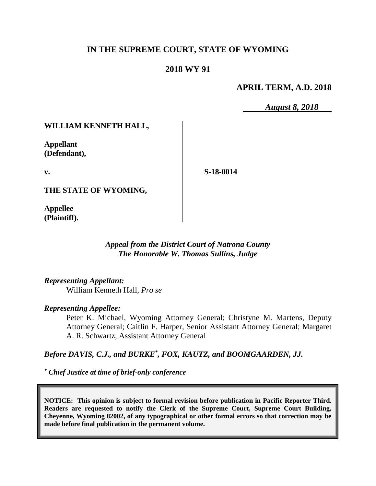# **IN THE SUPREME COURT, STATE OF WYOMING**

## **2018 WY 91**

## **APRIL TERM, A.D. 2018**

*August 8, 2018*

#### **WILLIAM KENNETH HALL,**

**Appellant (Defendant),**

**v.**

**S-18-0014**

**THE STATE OF WYOMING,**

**Appellee (Plaintiff).**

> *Appeal from the District Court of Natrona County The Honorable W. Thomas Sullins, Judge*

*Representing Appellant:*

William Kenneth Hall, *Pro se*

#### *Representing Appellee:*

Peter K. Michael, Wyoming Attorney General; Christyne M. Martens, Deputy Attorney General; Caitlin F. Harper, Senior Assistant Attorney General; Margaret A. R. Schwartz, Assistant Attorney General

*Before DAVIS, C.J., and BURKE\* , FOX, KAUTZ, and BOOMGAARDEN, JJ.*

*\* Chief Justice at time of brief-only conference*

**NOTICE: This opinion is subject to formal revision before publication in Pacific Reporter Third. Readers are requested to notify the Clerk of the Supreme Court, Supreme Court Building, Cheyenne, Wyoming 82002, of any typographical or other formal errors so that correction may be made before final publication in the permanent volume.**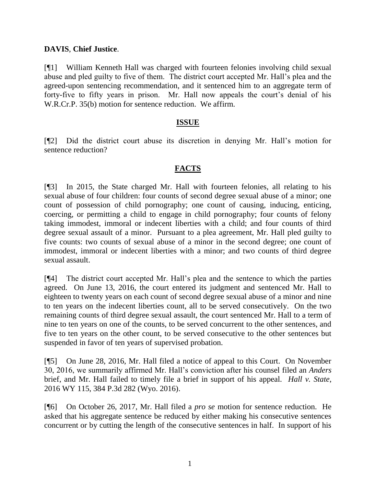#### **DAVIS**, **Chief Justice**.

[¶1] William Kenneth Hall was charged with fourteen felonies involving child sexual abuse and pled guilty to five of them. The district court accepted Mr. Hall's plea and the agreed-upon sentencing recommendation, and it sentenced him to an aggregate term of forty-five to fifty years in prison. Mr. Hall now appeals the court's denial of his W.R.Cr.P. 35(b) motion for sentence reduction. We affirm.

## **ISSUE**

[¶2] Did the district court abuse its discretion in denying Mr. Hall's motion for sentence reduction?

## **FACTS**

[¶3] In 2015, the State charged Mr. Hall with fourteen felonies, all relating to his sexual abuse of four children: four counts of second degree sexual abuse of a minor; one count of possession of child pornography; one count of causing, inducing, enticing, coercing, or permitting a child to engage in child pornography; four counts of felony taking immodest, immoral or indecent liberties with a child; and four counts of third degree sexual assault of a minor. Pursuant to a plea agreement, Mr. Hall pled guilty to five counts: two counts of sexual abuse of a minor in the second degree; one count of immodest, immoral or indecent liberties with a minor; and two counts of third degree sexual assault.

[¶4] The district court accepted Mr. Hall's plea and the sentence to which the parties agreed. On June 13, 2016, the court entered its judgment and sentenced Mr. Hall to eighteen to twenty years on each count of second degree sexual abuse of a minor and nine to ten years on the indecent liberties count, all to be served consecutively. On the two remaining counts of third degree sexual assault, the court sentenced Mr. Hall to a term of nine to ten years on one of the counts, to be served concurrent to the other sentences, and five to ten years on the other count, to be served consecutive to the other sentences but suspended in favor of ten years of supervised probation.

[¶5] On June 28, 2016, Mr. Hall filed a notice of appeal to this Court. On November 30, 2016, we summarily affirmed Mr. Hall's conviction after his counsel filed an *Anders* brief, and Mr. Hall failed to timely file a brief in support of his appeal. *Hall v. State*, 2016 WY 115, 384 P.3d 282 (Wyo. 2016).

[¶6] On October 26, 2017, Mr. Hall filed a *pro se* motion for sentence reduction. He asked that his aggregate sentence be reduced by either making his consecutive sentences concurrent or by cutting the length of the consecutive sentences in half. In support of his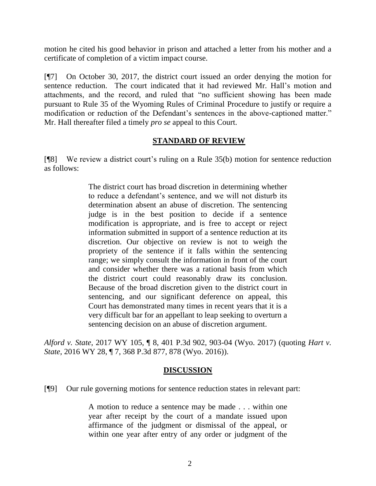motion he cited his good behavior in prison and attached a letter from his mother and a certificate of completion of a victim impact course.

[¶7] On October 30, 2017, the district court issued an order denying the motion for sentence reduction. The court indicated that it had reviewed Mr. Hall's motion and attachments, and the record, and ruled that "no sufficient showing has been made pursuant to Rule 35 of the Wyoming Rules of Criminal Procedure to justify or require a modification or reduction of the Defendant's sentences in the above-captioned matter." Mr. Hall thereafter filed a timely *pro se* appeal to this Court.

## **STANDARD OF REVIEW**

[¶8] We review a district court's ruling on a Rule 35(b) motion for sentence reduction as follows:

> The district court has broad discretion in determining whether to reduce a defendant's sentence, and we will not disturb its determination absent an abuse of discretion. The sentencing judge is in the best position to decide if a sentence modification is appropriate, and is free to accept or reject information submitted in support of a sentence reduction at its discretion. Our objective on review is not to weigh the propriety of the sentence if it falls within the sentencing range; we simply consult the information in front of the court and consider whether there was a rational basis from which the district court could reasonably draw its conclusion. Because of the broad discretion given to the district court in sentencing, and our significant deference on appeal, this Court has demonstrated many times in recent years that it is a very difficult bar for an appellant to leap seeking to overturn a sentencing decision on an abuse of discretion argument.

*Alford v. State*, 2017 WY 105, ¶ 8, 401 P.3d 902, 903-04 (Wyo. 2017) (quoting *[Hart v.](http://www.westlaw.com/Link/Document/FullText?findType=Y&serNum=2038395050&pubNum=0004645&originatingDoc=I8cac1c5098e211e7a9cdf8f74902bf96&refType=RP&fi=co_pp_sp_4645_878&originationContext=document&vr=3.0&rs=cblt1.0&transitionType=DocumentItem&contextData=(sc.Keycite)#co_pp_sp_4645_878)  State*[, 2016 WY 28, ¶ 7, 368 P.3d 877, 878 \(Wyo. 2016\)\)](http://www.westlaw.com/Link/Document/FullText?findType=Y&serNum=2038395050&pubNum=0004645&originatingDoc=I8cac1c5098e211e7a9cdf8f74902bf96&refType=RP&fi=co_pp_sp_4645_878&originationContext=document&vr=3.0&rs=cblt1.0&transitionType=DocumentItem&contextData=(sc.Keycite)#co_pp_sp_4645_878).

#### **DISCUSSION**

[¶9] Our rule governing motions for sentence reduction states in relevant part:

A motion to reduce a sentence may be made . . . within one year after receipt by the court of a mandate issued upon affirmance of the judgment or dismissal of the appeal, or within one year after entry of any order or judgment of the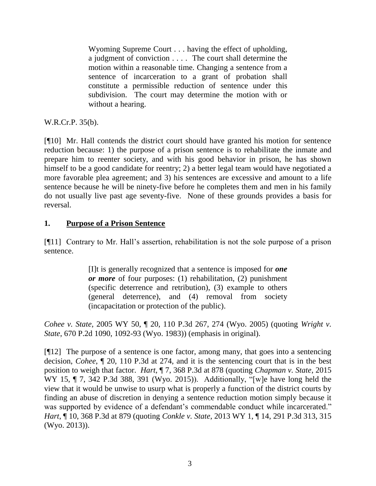Wyoming Supreme Court . . . having the effect of upholding, a judgment of conviction . . . . The court shall determine the motion within a reasonable time. Changing a sentence from a sentence of incarceration to a grant of probation shall constitute a permissible reduction of sentence under this subdivision. The court may determine the motion with or without a hearing.

W.R.Cr.P. 35(b).

[¶10] Mr. Hall contends the district court should have granted his motion for sentence reduction because: 1) the purpose of a prison sentence is to rehabilitate the inmate and prepare him to reenter society, and with his good behavior in prison, he has shown himself to be a good candidate for reentry; 2) a better legal team would have negotiated a more favorable plea agreement; and 3) his sentences are excessive and amount to a life sentence because he will be ninety-five before he completes them and men in his family do not usually live past age seventy-five. None of these grounds provides a basis for reversal.

## **1. Purpose of a Prison Sentence**

[¶11] Contrary to Mr. Hall's assertion, rehabilitation is not the sole purpose of a prison sentence.

> [I]t is generally recognized that a sentence is imposed for *one or more* of four purposes: (1) rehabilitation, (2) punishment (specific deterrence and retribution), (3) example to others (general deterrence), and (4) removal from society (incapacitation or protection of the public).

*Cohee v. State*, 2005 WY 50, ¶ 20, 110 P.3d 267, 274 (Wyo. 2005) (quoting *[Wright v.](http://www.westlaw.com/Link/Document/FullText?findType=Y&serNum=1983148034&pubNum=661&originatingDoc=Ia7805681f3bb11d9b386b232635db992&refType=RP&fi=co_pp_sp_661_1092&originationContext=document&vr=3.0&rs=cblt1.0&transitionType=DocumentItem&contextData=(sc.UserEnteredCitation)#co_pp_sp_661_1092)  State*[, 670 P.2d 1090, 1092-93 \(Wyo.](http://www.westlaw.com/Link/Document/FullText?findType=Y&serNum=1983148034&pubNum=661&originatingDoc=Ia7805681f3bb11d9b386b232635db992&refType=RP&fi=co_pp_sp_661_1092&originationContext=document&vr=3.0&rs=cblt1.0&transitionType=DocumentItem&contextData=(sc.UserEnteredCitation)#co_pp_sp_661_1092) 1983)) (emphasis in original).

[¶12] The purpose of a sentence is one factor, among many, that goes into a sentencing decision, *Cohee*, ¶ 20, 110 P.3d at 274, and it is the sentencing court that is in the best position to weigh that factor. *Hart*, ¶ 7, 368 P.3d at 878 (quoting *[Chapman v. State](http://www.westlaw.com/Link/Document/FullText?findType=Y&serNum=2035374333&pubNum=0004645&originatingDoc=If88589c0e11211e590d4edf60ce7d742&refType=RP&fi=co_pp_sp_4645_391&originationContext=document&vr=3.0&rs=cblt1.0&transitionType=DocumentItem&contextData=(sc.UserEnteredCitation)#co_pp_sp_4645_391)*, 2015 [WY 15, ¶ 7, 342 P.3d 388, 391 \(Wyo.](http://www.westlaw.com/Link/Document/FullText?findType=Y&serNum=2035374333&pubNum=0004645&originatingDoc=If88589c0e11211e590d4edf60ce7d742&refType=RP&fi=co_pp_sp_4645_391&originationContext=document&vr=3.0&rs=cblt1.0&transitionType=DocumentItem&contextData=(sc.UserEnteredCitation)#co_pp_sp_4645_391) 2015)). Additionally, "[w]e have long held the view that it would be unwise to usurp what is properly a function of the district courts by finding an abuse of discretion in denying a sentence reduction motion simply because it was supported by evidence of a defendant's commendable conduct while incarcerated." *Hart*, ¶ 10, 368 P.3d at 879 (quoting *Conkle v. State*[, 2013 WY 1, ¶ 14, 291 P.3d 313, 315](http://www.westlaw.com/Link/Document/FullText?findType=Y&serNum=2029560229&pubNum=0004645&originatingDoc=If88589c0e11211e590d4edf60ce7d742&refType=RP&fi=co_pp_sp_4645_315&originationContext=document&vr=3.0&rs=cblt1.0&transitionType=DocumentItem&contextData=(sc.UserEnteredCitation)#co_pp_sp_4645_315)  (Wyo. [2013\)\)](http://www.westlaw.com/Link/Document/FullText?findType=Y&serNum=2029560229&pubNum=0004645&originatingDoc=If88589c0e11211e590d4edf60ce7d742&refType=RP&fi=co_pp_sp_4645_315&originationContext=document&vr=3.0&rs=cblt1.0&transitionType=DocumentItem&contextData=(sc.UserEnteredCitation)#co_pp_sp_4645_315).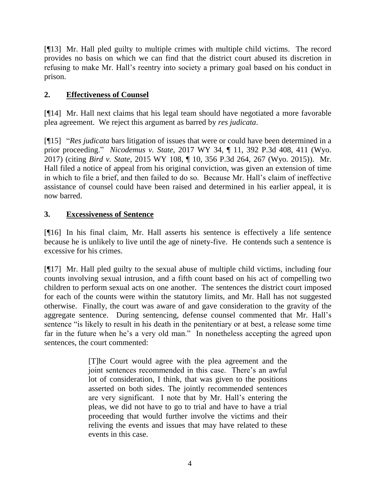[¶13] Mr. Hall pled guilty to multiple crimes with multiple child victims. The record provides no basis on which we can find that the district court abused its discretion in refusing to make Mr. Hall's reentry into society a primary goal based on his conduct in prison.

# **2. Effectiveness of Counsel**

[¶14] Mr. Hall next claims that his legal team should have negotiated a more favorable plea agreement. We reject this argument as barred by *res judicata*.

[¶15] "*Res judicata* bars litigation of issues that were or could have been determined in a prior proceeding." *Nicodemus v. State*, 2017 WY 34, ¶ 11, 392 P.3d 408, 411 (Wyo. 2017) (citing *Bird v. State*[, 2015 WY 108, ¶ 10, 356 P.3d 264, 267 \(Wyo. 2015\)\)](http://www.westlaw.com/Link/Document/FullText?findType=Y&serNum=2036885486&pubNum=0004645&originatingDoc=I672bd1300f7311e79277eb58f3dd13cc&refType=RP&fi=co_pp_sp_4645_267&originationContext=document&vr=3.0&rs=cblt1.0&transitionType=DocumentItem&contextData=(sc.Search)#co_pp_sp_4645_267). Mr. Hall filed a notice of appeal from his original conviction, was given an extension of time in which to file a brief, and then failed to do so. Because Mr. Hall's claim of ineffective assistance of counsel could have been raised and determined in his earlier appeal, it is now barred.

# **3. Excessiveness of Sentence**

[¶16] In his final claim, Mr. Hall asserts his sentence is effectively a life sentence because he is unlikely to live until the age of ninety-five. He contends such a sentence is excessive for his crimes.

[¶17] Mr. Hall pled guilty to the sexual abuse of multiple child victims, including four counts involving sexual intrusion, and a fifth count based on his act of compelling two children to perform sexual acts on one another. The sentences the district court imposed for each of the counts were within the statutory limits, and Mr. Hall has not suggested otherwise. Finally, the court was aware of and gave consideration to the gravity of the aggregate sentence. During sentencing, defense counsel commented that Mr. Hall's sentence "is likely to result in his death in the penitentiary or at best, a release some time far in the future when he's a very old man." In nonetheless accepting the agreed upon sentences, the court commented:

> [T]he Court would agree with the plea agreement and the joint sentences recommended in this case. There's an awful lot of consideration, I think, that was given to the positions asserted on both sides. The jointly recommended sentences are very significant. I note that by Mr. Hall's entering the pleas, we did not have to go to trial and have to have a trial proceeding that would further involve the victims and their reliving the events and issues that may have related to these events in this case.